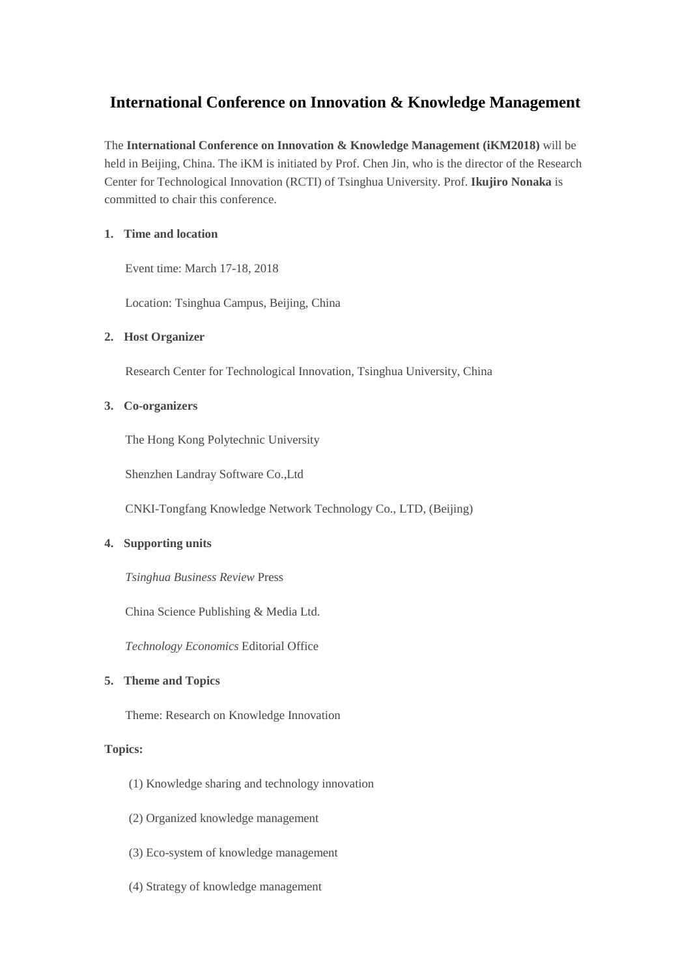# **International Conference on Innovation & Knowledge Management**

The **International Conference on Innovation & Knowledge Management (iKM2018)** will be held in Beijing, China. The iKM is initiated by Prof. Chen Jin, who is the director of the Research Center for Technological Innovation (RCTI) of Tsinghua University. Prof. **Ikujiro Nonaka** is committed to chair this conference.

# **1. Time and location**

Event time: March 17-18, 2018

Location: Tsinghua Campus, Beijing, China

# **2. Host Organizer**

Research Center for Technological Innovation, Tsinghua University, China

# **3. Co-organizers**

The Hong Kong Polytechnic University

Shenzhen Landray Software Co.,Ltd

CNKI-Tongfang Knowledge Network Technology Co., LTD, (Beijing)

### **4. Supporting units**

*Tsinghua Business Review* Press

China Science Publishing & Media Ltd.

*Technology Economics* Editorial Office

# **5. Theme and Topics**

Theme: Research on Knowledge Innovation

### **Topics:**

- (1) Knowledge sharing and technology innovation
- (2) Organized knowledge management
- (3) Eco-system of knowledge management
- (4) Strategy of knowledge management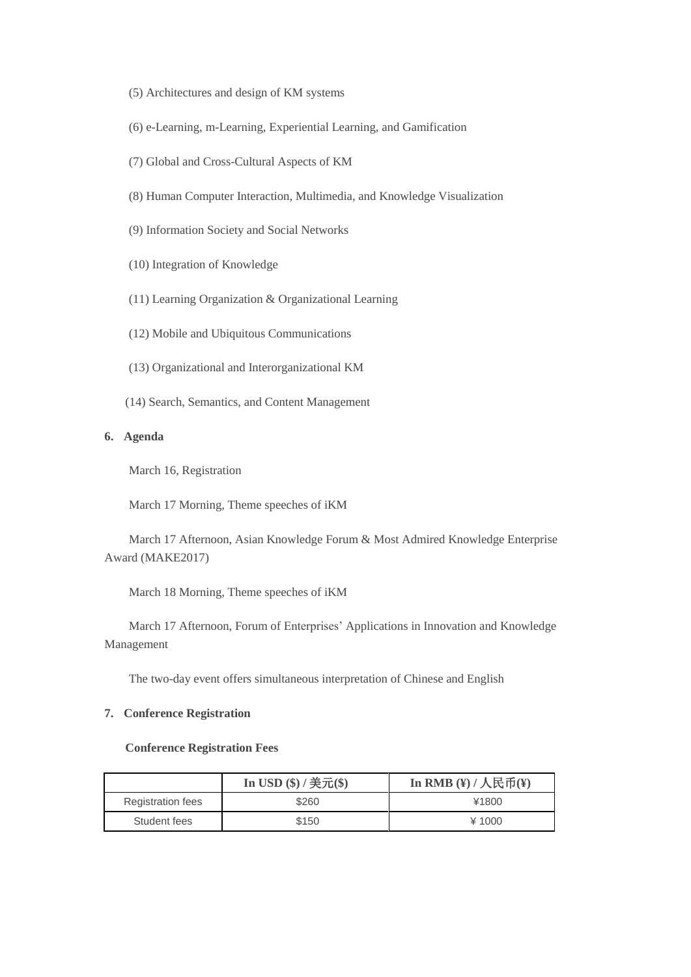- (5) Architectures and design of KM systems
- (6) e-Learning, m-Learning, Experiential Learning, and Gamification
- (7) Global and Cross-Cultural Aspects of KM
- (8) Human Computer Interaction, Multimedia, and Knowledge Visualization
- (9) Information Society and Social Networks
- (10) Integration of Knowledge
- (11) Learning Organization & Organizational Learning
- (12) Mobile and Ubiquitous Communications
- (13) Organizational and Interorganizational KM
- (14) Search, Semantics, and Content Management

# **6. Agenda**

March 16, Registration

March 17 Morning, Theme speeches of iKM

March 17 Afternoon, Asian Knowledge Forum & Most Admired Knowledge Enterprise Award (MAKE2017)

March 18 Morning, Theme speeches of iKM

March 17 Afternoon, Forum of Enterprises' Applications in Innovation and Knowledge Management

The two-day event offers simultaneous interpretation of Chinese and English

#### **7. Conference Registration**

### **Conference Registration Fees**

|                          | In USD $(\$) /$ 美元 $(\$)$ | In RMB $($ ) / \overline{R}币(¥) |
|--------------------------|---------------------------|---------------------------------|
| <b>Registration fees</b> | \$260                     | ¥1800                           |
| Student fees             | \$150                     | $*1000$                         |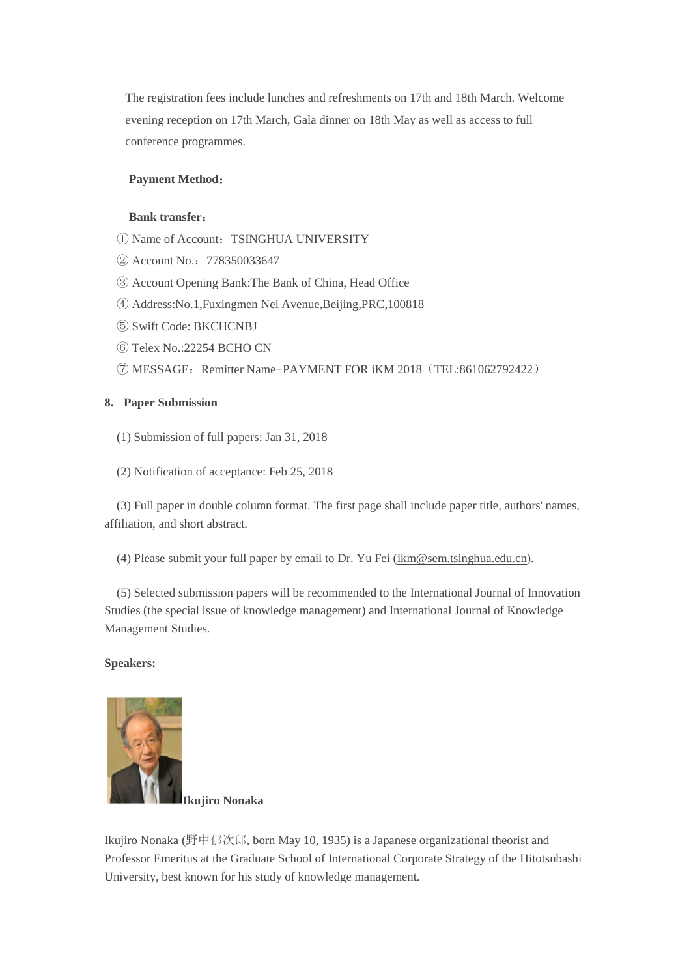The registration fees include lunches and refreshments on 17th and 18th March. Welcome evening reception on 17th March, Gala dinner on 18th May as well as access to full conference programmes.

#### **Payment Method**:

# **Bank transfer**:

- ① Name of Account:TSINGHUA UNIVERSITY
- ② Account No.:778350033647
- ③ Account Opening Bank:The Bank of China, Head Office
- ④ Address:No.1,Fuxingmen Nei Avenue,Beijing,PRC,100818
- ⑤ Swift Code: BKCHCNBJ
- ⑥ Telex No.:22254 BCHO CN
- ⑦ MESSAGE:Remitter Name+PAYMENT FOR iKM 2018(TEL:861062792422)

### **8. Paper Submission**

- (1) Submission of full papers: Jan 31, 2018
- (2) Notification of acceptance: Feb 25, 2018

(3) Full paper in double column format. The first page shall include paper title, authors' names, affiliation, and short abstract.

(4) Please submit your full paper by email to Dr. Yu Fei [\(ikm@sem.tsinghua.edu.cn\)](mailto:ikm@sem.tsinghua.edu.cn).

(5) Selected submission papers will be recommended to the International Journal of Innovation Studies (the special issue of knowledge management) and International Journal of Knowledge Management Studies.

#### **Speakers:**



**Ikujiro Nonaka**

Ikujiro Nonaka (野中郁次郎, born May 10, 1935) is a Japanese organizational theorist and Professor Emeritus at the Graduate School of International Corporate Strategy of the Hitotsubashi University, best known for his study of knowledge management.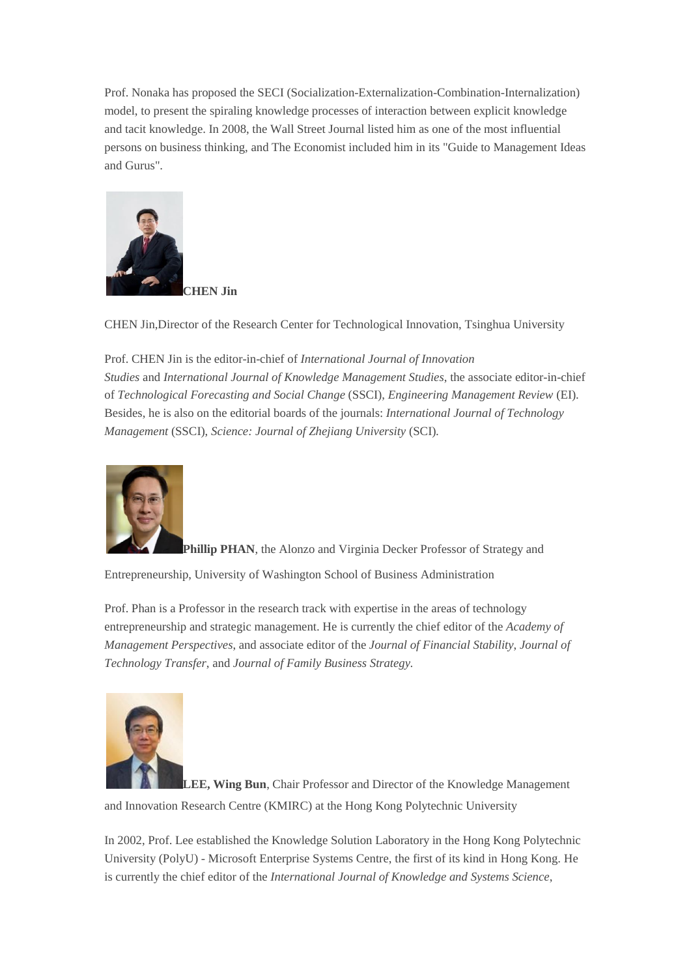Prof. Nonaka has proposed the SECI (Socialization-Externalization-Combination-Internalization) model, to present the spiraling knowledge processes of interaction between explicit knowledge and tacit knowledge. In 2008, the Wall Street Journal listed him as one of the most influential persons on business thinking, and The Economist included him in its "Guide to Management Ideas and Gurus".



CHEN Jin,Director of the Research Center for Technological Innovation, Tsinghua University

Prof. CHEN Jin is the editor-in-chief of *International Journal of Innovation Studies* and *International Journal of Knowledge Management Studies*, the associate editor-in-chief of *Technological Forecasting and Social Change* (SSCI), *Engineering Management Review* (EI). Besides, he is also on the editorial boards of the journals: *International Journal of Technology Management* (SSCI), *Science: Journal of Zhejiang University* (SCI)*.*



**Phillip PHAN**, the Alonzo and Virginia Decker Professor of Strategy and

Entrepreneurship, University of Washington School of Business Administration

Prof. Phan is a Professor in the research track with expertise in the areas of technology entrepreneurship and strategic management. He is currently the chief editor of the *Academy of Management Perspectives*, and associate editor of the *Journal of Financial Stability*, *Journal of Technology Transfer*, and *Journal of Family Business Strategy.*



**LEE, Wing Bun**, Chair Professor and Director of the Knowledge Management

and Innovation Research Centre (KMIRC) at the Hong Kong Polytechnic University

In 2002, Prof. Lee established the Knowledge Solution Laboratory in the Hong Kong Polytechnic University (PolyU) - Microsoft Enterprise Systems Centre, the first of its kind in Hong Kong. He is currently the chief editor of the *International Journal of Knowledge and Systems Science*,